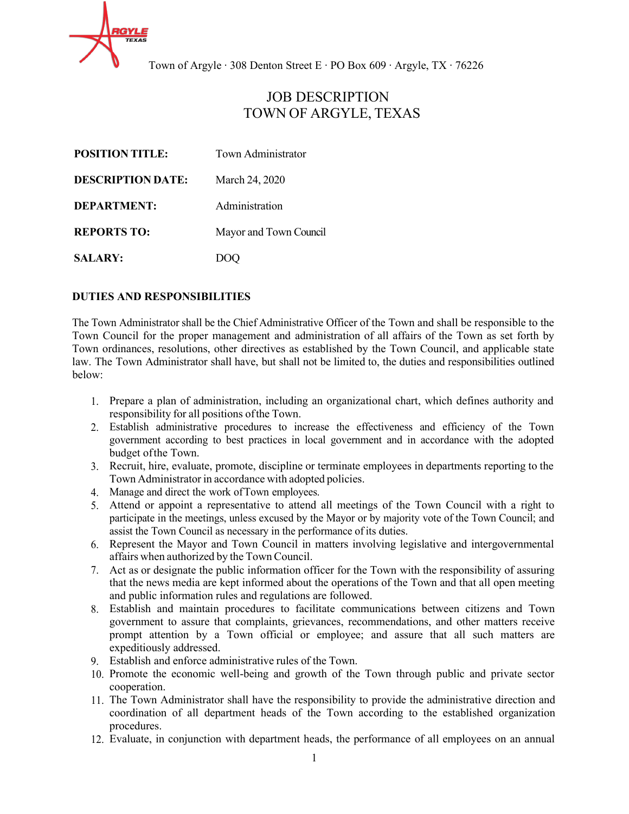

# JOB DESCRIPTION TOWN OF ARGYLE, TEXAS

| <b>POSITION TITLE:</b>   | Town Administrator     |
|--------------------------|------------------------|
| <b>DESCRIPTION DATE:</b> | March 24, 2020         |
| <b>DEPARTMENT:</b>       | Administration         |
| <b>REPORTS TO:</b>       | Mayor and Town Council |
| <b>SALARY:</b>           |                        |

## **DUTIES AND RESPONSIBILITIES**

The Town Administrator shall be the Chief Administrative Officer of the Town and shall be responsible to the Town Council for the proper management and administration of all affairs of the Town as set forth by Town ordinances, resolutions, other directives as established by the Town Council, and applicable state law. The Town Administrator shall have, but shall not be limited to, the duties and responsibilities outlined below:

- 1. Prepare a plan of administration, including an organizational chart, which defines authority and responsibility for all positions ofthe Town.
- 2. Establish administrative procedures to increase the effectiveness and efficiency of the Town government according to best practices in local government and in accordance with the adopted budget ofthe Town.
- 3. Recruit, hire, evaluate, promote, discipline or terminate employees in departments reporting to the Town Administrator in accordance with adopted policies.
- 4. Manage and direct the work ofTown employees.
- 5. Attend or appoint a representative to attend all meetings of the Town Council with a right to participate in the meetings, unless excused by the Mayor or by majority vote of the Town Council; and assist the Town Council as necessary in the performance of its duties.
- 6. Represent the Mayor and Town Council in matters involving legislative and intergovernmental affairs when authorized by the Town Council.
- 7. Act as or designate the public information officer for the Town with the responsibility of assuring that the news media are kept informed about the operations of the Town and that all open meeting and public information rules and regulations are followed.
- 8. Establish and maintain procedures to facilitate communications between citizens and Town government to assure that complaints, grievances, recommendations, and other matters receive prompt attention by a Town official or employee; and assure that all such matters are expeditiously addressed.
- 9. Establish and enforce administrative rules of the Town.
- 10. Promote the economic well-being and growth of the Town through public and private sector cooperation.
- 11. The Town Administrator shall have the responsibility to provide the administrative direction and coordination of all department heads of the Town according to the established organization procedures.
- 12. Evaluate, in conjunction with department heads, the performance of all employees on an annual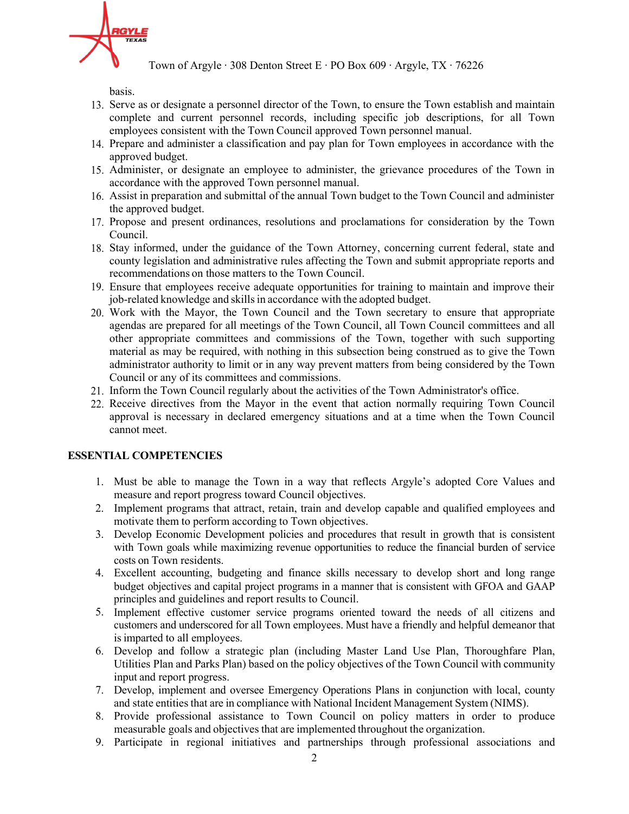

basis.

- 13. Serve as or designate a personnel director of the Town, to ensure the Town establish and maintain complete and current personnel records, including specific job descriptions, for all Town employees consistent with the Town Council approved Town personnel manual.
- 14. Prepare and administer a classification and pay plan for Town employees in accordance with the approved budget.
- 15. Administer, or designate an employee to administer, the grievance procedures of the Town in accordance with the approved Town personnel manual.
- 16. Assist in preparation and submittal of the annual Town budget to the Town Council and administer the approved budget.
- 17. Propose and present ordinances, resolutions and proclamations for consideration by the Town Council.
- 18. Stay informed, under the guidance of the Town Attorney, concerning current federal, state and county legislation and administrative rules affecting the Town and submit appropriate reports and recommendations on those matters to the Town Council.
- 19. Ensure that employees receive adequate opportunities for training to maintain and improve their job-related knowledge and skills in accordance with the adopted budget.
- 20. Work with the Mayor, the Town Council and the Town secretary to ensure that appropriate agendas are prepared for all meetings of the Town Council, all Town Council committees and all other appropriate committees and commissions of the Town, together with such supporting material as may be required, with nothing in this subsection being construed as to give the Town administrator authority to limit or in any way prevent matters from being considered by the Town Council or any of its committees and commissions.
- 21. Inform the Town Council regularly about the activities of the Town Administrator's office.
- 22. Receive directives from the Mayor in the event that action normally requiring Town Council approval is necessary in declared emergency situations and at a time when the Town Council cannot meet.

## **ESSENTIAL COMPETENCIES**

- 1. Must be able to manage the Town in a way that reflects Argyle's adopted Core Values and measure and report progress toward Council objectives.
- 2. Implement programs that attract, retain, train and develop capable and qualified employees and motivate them to perform according to Town objectives.
- 3. Develop Economic Development policies and procedures that result in growth that is consistent with Town goals while maximizing revenue opportunities to reduce the financial burden of service costs on Town residents.
- 4. Excellent accounting, budgeting and finance skills necessary to develop short and long range budget objectives and capital project programs in a manner that is consistent with GFOA and GAAP principles and guidelines and report results to Council.
- 5. Implement effective customer service programs oriented toward the needs of all citizens and customers and underscored for all Town employees. Must have a friendly and helpful demeanor that is imparted to all employees.
- 6. Develop and follow a strategic plan (including Master Land Use Plan, Thoroughfare Plan, Utilities Plan and Parks Plan) based on the policy objectives of the Town Council with community input and report progress.
- 7. Develop, implement and oversee Emergency Operations Plans in conjunction with local, county and state entitiesthat are in compliance with National Incident Management System (NIMS).
- 8. Provide professional assistance to Town Council on policy matters in order to produce measurable goals and objectives that are implemented throughout the organization.
- 9. Participate in regional initiatives and partnerships through professional associations and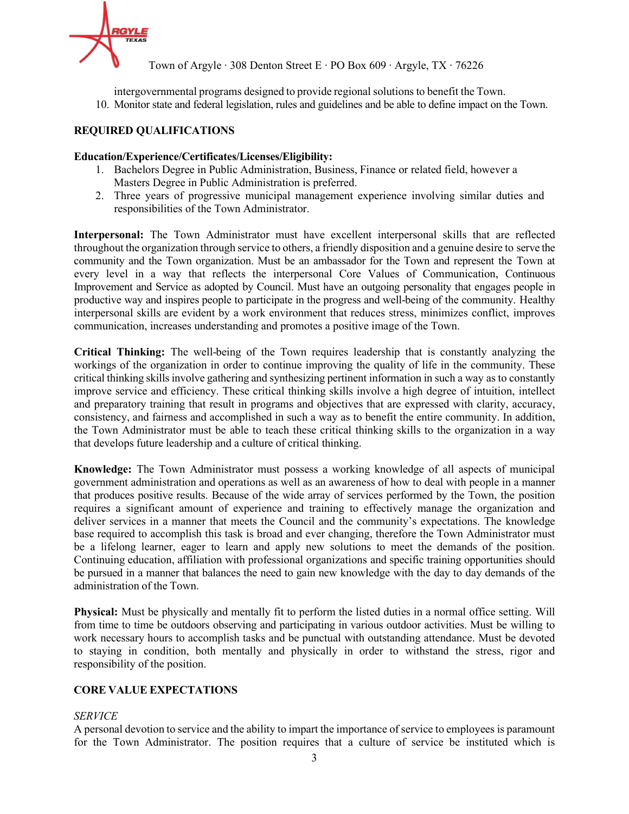

intergovernmental programs designed to provide regional solutions to benefit the Town. 10. Monitor state and federal legislation, rules and guidelines and be able to define impact on the Town.

## **REQUIRED QUALIFICATIONS**

#### **Education/Experience/Certificates/Licenses/Eligibility:**

- 1. Bachelors Degree in Public Administration, Business, Finance or related field, however a Masters Degree in Public Administration is preferred.
- 2. Three years of progressive municipal management experience involving similar duties and responsibilities of the Town Administrator.

**Interpersonal:** The Town Administrator must have excellent interpersonal skills that are reflected throughout the organization through service to others, a friendly disposition and a genuine desire to serve the community and the Town organization. Must be an ambassador for the Town and represent the Town at every level in a way that reflects the interpersonal Core Values of Communication, Continuous Improvement and Service as adopted by Council. Must have an outgoing personality that engages people in productive way and inspires people to participate in the progress and well-being of the community. Healthy interpersonal skills are evident by a work environment that reduces stress, minimizes conflict, improves communication, increases understanding and promotes a positive image of the Town.

**Critical Thinking:** The well-being of the Town requires leadership that is constantly analyzing the workings of the organization in order to continue improving the quality of life in the community. These critical thinking skillsinvolve gathering and synthesizing pertinent information in such a way as to constantly improve service and efficiency. These critical thinking skills involve a high degree of intuition, intellect and preparatory training that result in programs and objectives that are expressed with clarity, accuracy, consistency, and fairness and accomplished in such a way as to benefit the entire community. In addition, the Town Administrator must be able to teach these critical thinking skills to the organization in a way that develops future leadership and a culture of critical thinking.

**Knowledge:** The Town Administrator must possess a working knowledge of all aspects of municipal government administration and operations as well as an awareness of how to deal with people in a manner that produces positive results. Because of the wide array of services performed by the Town, the position requires a significant amount of experience and training to effectively manage the organization and deliver services in a manner that meets the Council and the community's expectations. The knowledge base required to accomplish this task is broad and ever changing, therefore the Town Administrator must be a lifelong learner, eager to learn and apply new solutions to meet the demands of the position. Continuing education, affiliation with professional organizations and specific training opportunities should be pursued in a manner that balances the need to gain new knowledge with the day to day demands of the administration of the Town.

**Physical:** Must be physically and mentally fit to perform the listed duties in a normal office setting. Will from time to time be outdoors observing and participating in various outdoor activities. Must be willing to work necessary hours to accomplish tasks and be punctual with outstanding attendance. Must be devoted to staying in condition, both mentally and physically in order to withstand the stress, rigor and responsibility of the position.

# **CORE VALUE EXPECTATIONS**

#### *SERVICE*

A personal devotion to service and the ability to impart the importance of service to employees is paramount for the Town Administrator. The position requires that a culture of service be instituted which is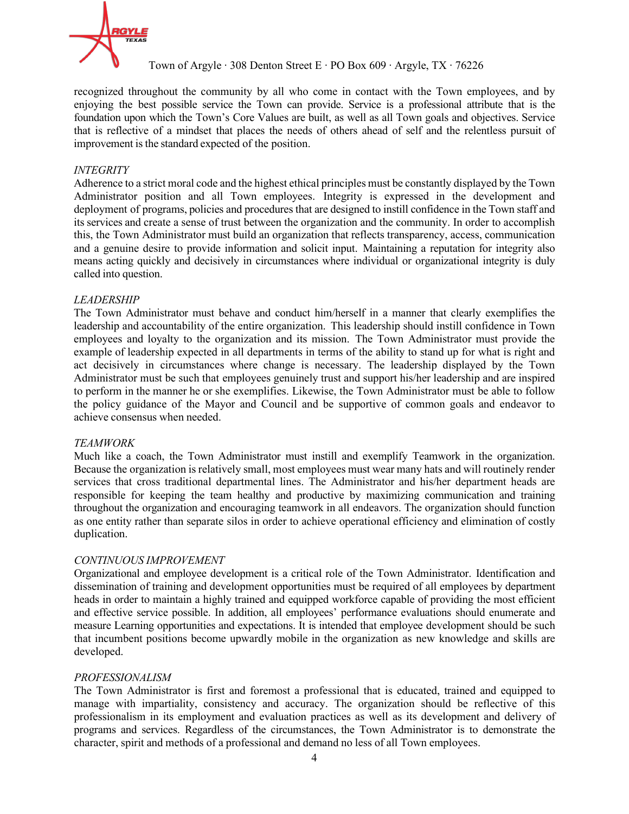

recognized throughout the community by all who come in contact with the Town employees, and by enjoying the best possible service the Town can provide. Service is a professional attribute that is the foundation upon which the Town's Core Values are built, as well as all Town goals and objectives. Service that is reflective of a mindset that places the needs of others ahead of self and the relentless pursuit of improvement is the standard expected of the position.

## *INTEGRITY*

Adherence to a strict moral code and the highest ethical principles must be constantly displayed by the Town Administrator position and all Town employees. Integrity is expressed in the development and deployment of programs, policies and procedures that are designed to instill confidence in the Town staff and its services and create a sense of trust between the organization and the community. In order to accomplish this, the Town Administrator must build an organization that reflects transparency, access, communication and a genuine desire to provide information and solicit input. Maintaining a reputation for integrity also means acting quickly and decisively in circumstances where individual or organizational integrity is duly called into question.

## *LEADERSHIP*

The Town Administrator must behave and conduct him/herself in a manner that clearly exemplifies the leadership and accountability of the entire organization. This leadership should instill confidence in Town employees and loyalty to the organization and its mission. The Town Administrator must provide the example of leadership expected in all departments in terms of the ability to stand up for what is right and act decisively in circumstances where change is necessary. The leadership displayed by the Town Administrator must be such that employees genuinely trust and support his/her leadership and are inspired to perform in the manner he or she exemplifies. Likewise, the Town Administrator must be able to follow the policy guidance of the Mayor and Council and be supportive of common goals and endeavor to achieve consensus when needed.

#### *TEAMWORK*

Much like a coach, the Town Administrator must instill and exemplify Teamwork in the organization. Because the organization is relatively small, most employees must wear many hats and will routinely render services that cross traditional departmental lines. The Administrator and his/her department heads are responsible for keeping the team healthy and productive by maximizing communication and training throughout the organization and encouraging teamwork in all endeavors. The organization should function as one entity rather than separate silos in order to achieve operational efficiency and elimination of costly duplication.

#### *CONTINUOUS IMPROVEMENT*

Organizational and employee development is a critical role of the Town Administrator. Identification and dissemination of training and development opportunities must be required of all employees by department heads in order to maintain a highly trained and equipped workforce capable of providing the most efficient and effective service possible. In addition, all employees' performance evaluations should enumerate and measure Learning opportunities and expectations. It is intended that employee development should be such that incumbent positions become upwardly mobile in the organization as new knowledge and skills are developed.

#### *PROFESSIONALISM*

The Town Administrator is first and foremost a professional that is educated, trained and equipped to manage with impartiality, consistency and accuracy. The organization should be reflective of this professionalism in its employment and evaluation practices as well as its development and delivery of programs and services. Regardless of the circumstances, the Town Administrator is to demonstrate the character, spirit and methods of a professional and demand no less of all Town employees.